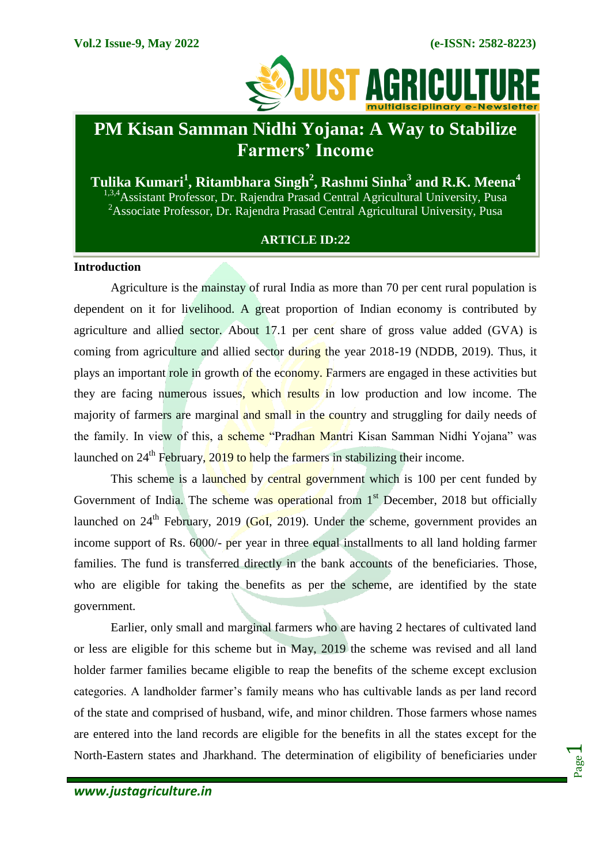

# **PM Kisan Samman Nidhi Yojana: A Way to Stabilize Farmers' Income**

**Tulika Kumari<sup>1</sup> , Ritambhara Singh<sup>2</sup> , Rashmi Sinha<sup>3</sup> and R.K. Meena<sup>4</sup>** <sup>1,3,4</sup>Assistant Professor, Dr. Rajendra Prasad Central Agricultural University, Pusa <sup>2</sup>Associate Professor, Dr. Rajendra Prasad Central Agricultural University, Pusa

## **ARTICLE ID:22**

## **Introduction**

Agriculture is the mainstay of rural India as more than 70 per cent rural population is dependent on it for livelihood. A great proportion of Indian economy is contributed by agriculture and allied sector. About 17.1 per cent share of gross value added (GVA) is coming from agriculture and allied sector during the year 2018-19 (NDDB, 2019). Thus, it plays an important role in growth of the economy. Farmers are engaged in these activities but they are facing numerous issues, which results in low production and low income. The majority of farmers are marginal and small in the country and struggling for daily needs of the family. In view of this, a scheme "Pradhan Mantri Kisan Samman Nidhi Yojana" was launched on  $24<sup>th</sup>$  February,  $2019$  to help the farmers in stabilizing their income.

This scheme is a launched by central government which is 100 per cent funded by Government of India. The scheme was operational from  $1<sup>st</sup>$  December, 2018 but officially launched on  $24<sup>th</sup>$  February, 2019 (GoI, 2019). Under the scheme, government provides an income support of Rs. 6000/- per year in three equal installments to all land holding farmer families. The fund is transferred directly in the bank accounts of the beneficiaries. Those, who are eligible for taking the benefits as per the scheme, are identified by the state government.

Earlier, only small and marginal farmers who are having 2 hectares of cultivated land or less are eligible for this scheme but in May, 2019 the scheme was revised and all land holder farmer families became eligible to reap the benefits of the scheme except exclusion categories. A landholder farmer's family means who has cultivable lands as per land record of the state and comprised of husband, wife, and minor children. Those farmers whose names are entered into the land records are eligible for the benefits in all the states except for the North-Eastern states and Jharkhand. The determination of eligibility of beneficiaries under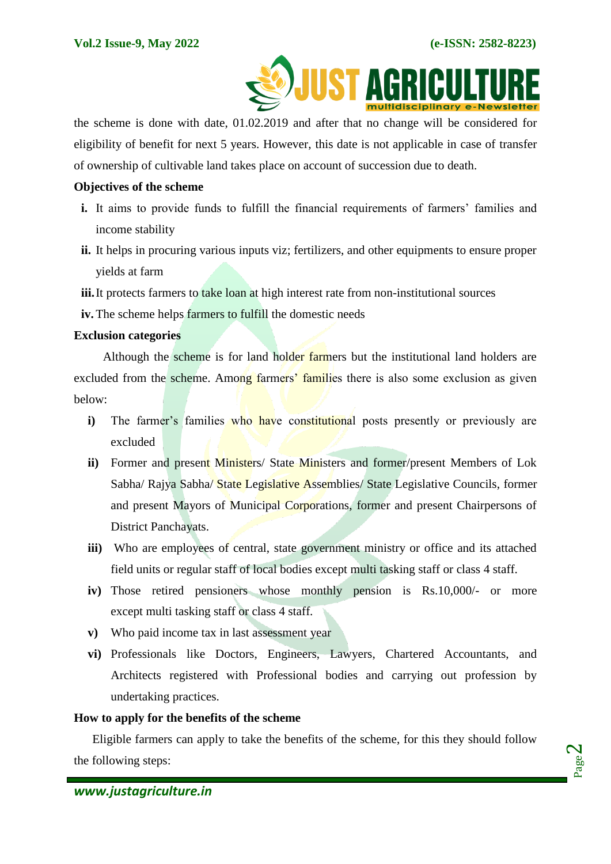

the scheme is done with date, 01.02.2019 and after that no change will be considered for eligibility of benefit for next 5 years. However, this date is not applicable in case of transfer of ownership of cultivable land takes place on account of succession due to death.

#### **Objectives of the scheme**

- **i.** It aims to provide funds to fulfill the financial requirements of farmers' families and income stability
- **ii.** It helps in procuring various inputs viz; fertilizers, and other equipments to ensure proper yields at farm

iii. It protects farmers to take loan at high interest rate from non-institutional sources

**iv.** The scheme helps farmers to fulfill the domestic needs

## **Exclusion categories**

Although the scheme is for land holder farmers but the institutional land holders are excluded from the scheme. Among farmers' families there is also some exclusion as given below:

- **i**) The farmer's families who have constitutional posts presently or previously are excluded
- **ii**) Former and present Ministers/ State Ministers and former/present Members of Lok Sabha/ Rajya Sabha/ State Legislative Assemblies/ State Legislative Councils, former and present Mayors of Municipal Corporations, former and present Chairpersons of District Panchayats.
- **iii)** Who are employees of central, state government ministry or office and its attached field units or regular staff of local bodies except multi tasking staff or class 4 staff.
- **iv)** Those retired pensioners whose monthly pension is Rs.10,000/- or more except multi tasking staff or class 4 staff.
- **v)** Who paid income tax in last assessment year
- **vi)** Professionals like Doctors, Engineers, Lawyers, Chartered Accountants, and Architects registered with Professional bodies and carrying out profession by undertaking practices.

## **How to apply for the benefits of the scheme**

Eligible farmers can apply to take the benefits of the scheme, for this they should follow the following steps: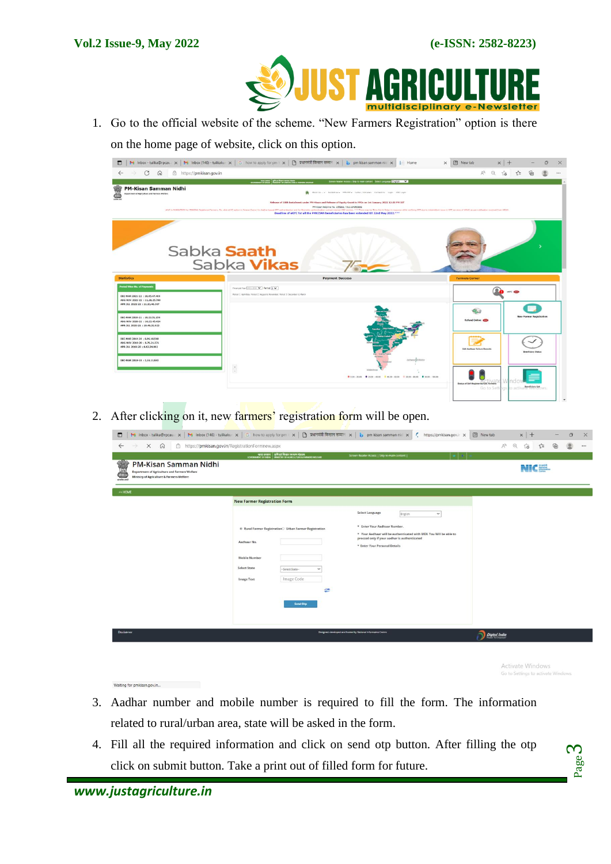

1. Go to the official website of the scheme. "New Farmers Registration" option is there on the home page of website, click on this option.

| $\Box$<br>C<br>https://pmkisan.gov.in<br>$\Omega$                                                                                                                                                                                                                                                                                                                     | My Inbox - tulika@rpcau. x   My Inbox (146) - tulikakur x   G how to apply for pm x     및 피미타의 대리 TH x   b pm kisan samman nic x<br>  Home                                                                                                                                                                                                                                                                                                                                                    | $\mathbb{A}^n$                        | $x$ +<br>$Q$ $\vec{10}$ | $5 =$                          |  |
|-----------------------------------------------------------------------------------------------------------------------------------------------------------------------------------------------------------------------------------------------------------------------------------------------------------------------------------------------------------------------|-----------------------------------------------------------------------------------------------------------------------------------------------------------------------------------------------------------------------------------------------------------------------------------------------------------------------------------------------------------------------------------------------------------------------------------------------------------------------------------------------|---------------------------------------|-------------------------|--------------------------------|--|
|                                                                                                                                                                                                                                                                                                                                                                       |                                                                                                                                                                                                                                                                                                                                                                                                                                                                                               |                                       |                         |                                |  |
|                                                                                                                                                                                                                                                                                                                                                                       | Screen Reader Access   Skip to main content Select Language [279] 57 V                                                                                                                                                                                                                                                                                                                                                                                                                        |                                       |                         |                                |  |
| <b>PM-Kisan Samman Nidhi</b><br>Department of Apriculture and Farmers Welfare                                                                                                                                                                                                                                                                                         | About Us  + Goldebies + PH-RMY + Letter / Circulars Contact Us Login CSC Login                                                                                                                                                                                                                                                                                                                                                                                                                |                                       |                         |                                |  |
|                                                                                                                                                                                                                                                                                                                                                                       | Release of 10th Tratalment under PH-Kisan and Release of Equity Grant to FPOs on 1st January 2022 12:30 PH IST<br>PM-Kisan Helpline No. 155261 / 011-24300606<br>ervice MAXDATOXY for PMASAN Austered Terrery, No. (list eXVC syllon to Tarrer Corner for Author Lewel CTP authoritistics and for Sigmatric authoritistics contact research CSC contine. **** There may be Terre Out its Colly<br>Deadline of eKYC for all the PMKISAN beneficiaries has been extended till 22nd May 2022.*** |                                       |                         |                                |  |
|                                                                                                                                                                                                                                                                                                                                                                       |                                                                                                                                                                                                                                                                                                                                                                                                                                                                                               |                                       |                         |                                |  |
|                                                                                                                                                                                                                                                                                                                                                                       |                                                                                                                                                                                                                                                                                                                                                                                                                                                                                               |                                       |                         |                                |  |
|                                                                                                                                                                                                                                                                                                                                                                       | Sabka Saath                                                                                                                                                                                                                                                                                                                                                                                                                                                                                   |                                       |                         |                                |  |
|                                                                                                                                                                                                                                                                                                                                                                       |                                                                                                                                                                                                                                                                                                                                                                                                                                                                                               |                                       |                         |                                |  |
|                                                                                                                                                                                                                                                                                                                                                                       |                                                                                                                                                                                                                                                                                                                                                                                                                                                                                               |                                       |                         |                                |  |
|                                                                                                                                                                                                                                                                                                                                                                       |                                                                                                                                                                                                                                                                                                                                                                                                                                                                                               |                                       |                         |                                |  |
|                                                                                                                                                                                                                                                                                                                                                                       | Sabka <b>Vikas</b>                                                                                                                                                                                                                                                                                                                                                                                                                                                                            |                                       |                         |                                |  |
|                                                                                                                                                                                                                                                                                                                                                                       | <b>Payment Success</b>                                                                                                                                                                                                                                                                                                                                                                                                                                                                        | <b>Farmers Corner</b>                 |                         |                                |  |
|                                                                                                                                                                                                                                                                                                                                                                       | Financial Year 2021-2022 V   Period  3 V                                                                                                                                                                                                                                                                                                                                                                                                                                                      |                                       |                         |                                |  |
|                                                                                                                                                                                                                                                                                                                                                                       | Period 1: April-Xuly; Period 2: August to November; Period 3: December to March                                                                                                                                                                                                                                                                                                                                                                                                               |                                       | akrc CD                 |                                |  |
|                                                                                                                                                                                                                                                                                                                                                                       |                                                                                                                                                                                                                                                                                                                                                                                                                                                                                               |                                       |                         |                                |  |
|                                                                                                                                                                                                                                                                                                                                                                       |                                                                                                                                                                                                                                                                                                                                                                                                                                                                                               |                                       |                         |                                |  |
|                                                                                                                                                                                                                                                                                                                                                                       |                                                                                                                                                                                                                                                                                                                                                                                                                                                                                               |                                       |                         |                                |  |
|                                                                                                                                                                                                                                                                                                                                                                       |                                                                                                                                                                                                                                                                                                                                                                                                                                                                                               | Refund Online                         |                         | <b>New Farmer Registration</b> |  |
|                                                                                                                                                                                                                                                                                                                                                                       |                                                                                                                                                                                                                                                                                                                                                                                                                                                                                               |                                       |                         |                                |  |
|                                                                                                                                                                                                                                                                                                                                                                       |                                                                                                                                                                                                                                                                                                                                                                                                                                                                                               |                                       |                         |                                |  |
|                                                                                                                                                                                                                                                                                                                                                                       |                                                                                                                                                                                                                                                                                                                                                                                                                                                                                               |                                       |                         |                                |  |
|                                                                                                                                                                                                                                                                                                                                                                       |                                                                                                                                                                                                                                                                                                                                                                                                                                                                                               | <b>Dill Anthony Failure Becord</b>    |                         |                                |  |
| <b>Statistics</b><br><b>Period Wise No. of Payments</b><br>DEC-MAR 2021-22 : 10.95.47.469<br>AUG-NOV 2021-22 : 11.18.25.760<br>APR-JUL 2021-22 : 11,13,48,307<br>DEC-MAR 2020-21 : 10.23.51.150<br>AUG-NOV 2020-21   10.23.45.424<br>APR-JUL 2020-21 : 10.49.32.623<br>DEC-HAR 2019-20 : 8,96,18,518<br>AUG-NOV 2019-20 : 8,76,21,571<br>APR-3UL 2010-20 +6.63,34.002 |                                                                                                                                                                                                                                                                                                                                                                                                                                                                                               |                                       |                         | <b>Beneficiary Status</b>      |  |
| DEC-HAR 2018-19   3,16.11.943                                                                                                                                                                                                                                                                                                                                         | fortisers and children                                                                                                                                                                                                                                                                                                                                                                                                                                                                        |                                       |                         |                                |  |
|                                                                                                                                                                                                                                                                                                                                                                       |                                                                                                                                                                                                                                                                                                                                                                                                                                                                                               |                                       |                         |                                |  |
|                                                                                                                                                                                                                                                                                                                                                                       | $\frac{1}{\pi}$                                                                                                                                                                                                                                                                                                                                                                                                                                                                               |                                       |                         |                                |  |
|                                                                                                                                                                                                                                                                                                                                                                       | ● 0.50 - 20.00 ● 20.00 - 40.00 ● 40.00 - 60.00 ● 60.00 ● 60.00 - 100.00                                                                                                                                                                                                                                                                                                                                                                                                                       | Status of Self Registered/CSC Farmers |                         |                                |  |

2. After clicking on it, new farmers' registration form will be open.

| $\times$<br>$\Omega$                                                                                                                | https://pmkisan.gov.in/RegistrationFormnew.aspx<br>MITE REQUE TO THE PERSON WAS SUPPLY TO A MARKET OF MOVAL AND MOVEMENT OF MOVAL AND MANUSCRY OF MARKET USING IT IN THE RANGERS WILL FAMILY | Screen Reader Access   Skip to main content                                                                                                         | ⊕<br>$\mathbin{\vartriangleleft}$<br>$A_p$<br>$\vec{c}$<br>匽<br>ু≦ |
|-------------------------------------------------------------------------------------------------------------------------------------|----------------------------------------------------------------------------------------------------------------------------------------------------------------------------------------------|-----------------------------------------------------------------------------------------------------------------------------------------------------|--------------------------------------------------------------------|
| PM-Kisan Samman Nidhi<br>Department of Agriculture and Farmers Welfare<br>Ministry of Agriculture & Farmers Welfare<br>स्टमनेम असते |                                                                                                                                                                                              |                                                                                                                                                     | NICES.                                                             |
| << HOME                                                                                                                             | <b>New Farmer Registration Form</b>                                                                                                                                                          |                                                                                                                                                     |                                                                    |
|                                                                                                                                     |                                                                                                                                                                                              | Select Language<br>$\check{ }$<br>English                                                                                                           |                                                                    |
|                                                                                                                                     | ® Rural Farmer Registration <sup>O</sup> Urban Farmer Registration                                                                                                                           | * Enter Your Aadhaar Number.<br>* Your Aadhaar will be authenticated with UIDI. You Will be able to<br>procced only if your aadhar is authenticated |                                                                    |
|                                                                                                                                     | Aadhaar No.<br><b>Mobile Number</b>                                                                                                                                                          | * Enter Your Personal Details                                                                                                                       |                                                                    |
|                                                                                                                                     | <b>Select State</b><br>-Select State-<br>$\checkmark$<br>Image Code<br><b>Image Text</b>                                                                                                     |                                                                                                                                                     |                                                                    |
|                                                                                                                                     | ø                                                                                                                                                                                            |                                                                                                                                                     |                                                                    |
|                                                                                                                                     | <b>Send Otp</b>                                                                                                                                                                              |                                                                                                                                                     |                                                                    |
| <b>Disclaimer</b>                                                                                                                   |                                                                                                                                                                                              | Designed, developed and hosted by National Informatics Centre                                                                                       | Digital India                                                      |

Activate Windows

Page က $\,$ 

Waiting for pmkisan.gov.in...

- 3. Aadhar number and mobile number is required to fill the form. The information related to rural/urban area, state will be asked in the form.
- 4. Fill all the required information and click on send otp button. After filling the otp click on submit button. Take a print out of filled form for future.